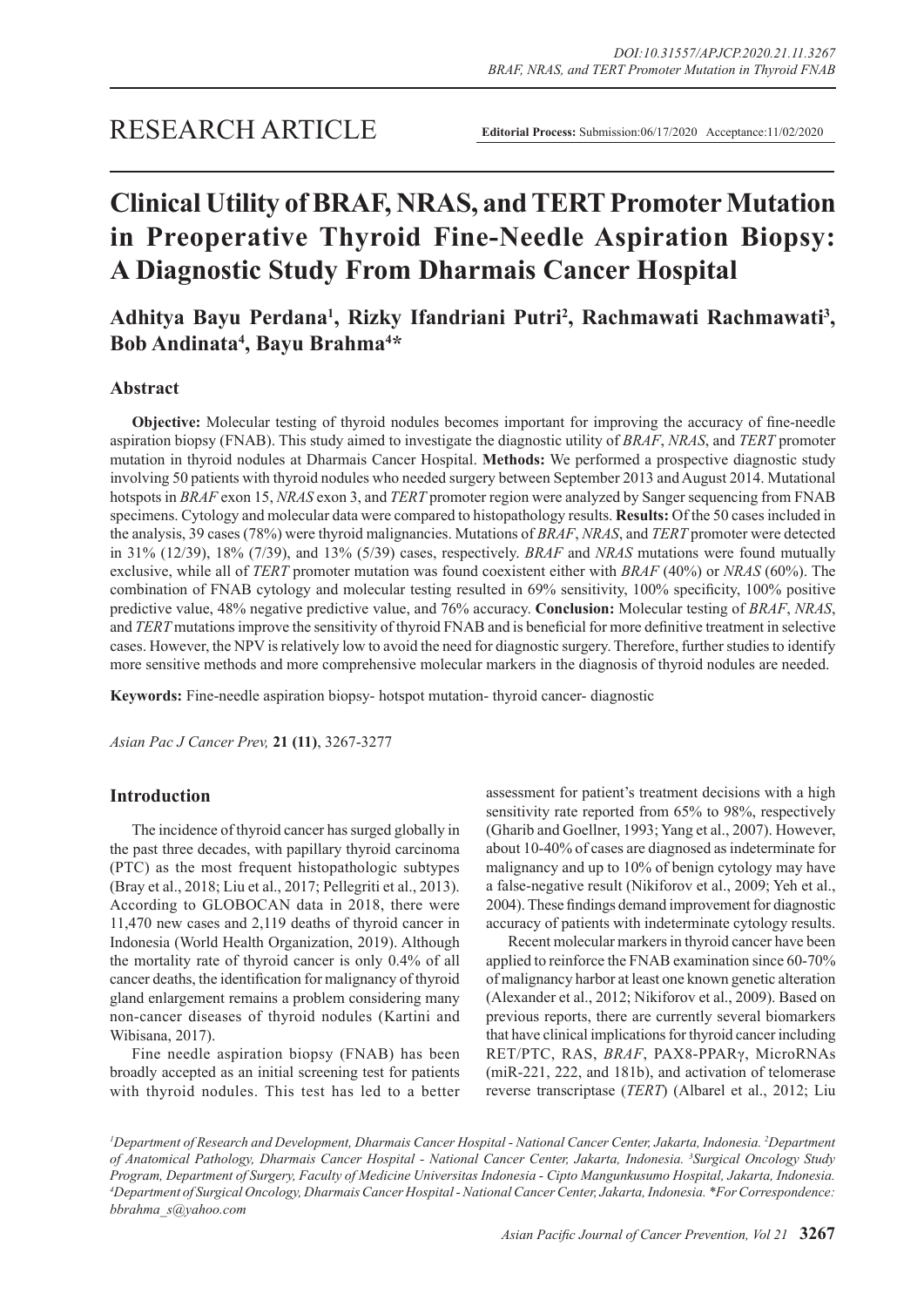# **Clinical Utility of BRAF, NRAS, and TERT Promoter Mutation in Preoperative Thyroid Fine-Needle Aspiration Biopsy: A Diagnostic Study From Dharmais Cancer Hospital**

## Adhitya Bayu Perdana<sup>1</sup>, Rizky Ifandriani Putri<sup>2</sup>, Rachmawati Rachmawati<sup>3</sup>, **Bob Andinata4 , Bayu Brahma4 \***

## **Abstract**

**Objective:** Molecular testing of thyroid nodules becomes important for improving the accuracy of fine-needle aspiration biopsy (FNAB). This study aimed to investigate the diagnostic utility of *BRAF*, *NRAS*, and *TERT* promoter mutation in thyroid nodules at Dharmais Cancer Hospital. **Methods:** We performed a prospective diagnostic study involving 50 patients with thyroid nodules who needed surgery between September 2013 and August 2014. Mutational hotspots in *BRAF* exon 15, *NRAS* exon 3, and *TERT* promoter region were analyzed by Sanger sequencing from FNAB specimens. Cytology and molecular data were compared to histopathology results. **Results:** Of the 50 cases included in the analysis, 39 cases (78%) were thyroid malignancies. Mutations of *BRAF*, *NRAS*, and *TERT* promoter were detected in 31% (12/39), 18% (7/39), and 13% (5/39) cases, respectively. *BRAF* and *NRAS* mutations were found mutually exclusive, while all of *TERT* promoter mutation was found coexistent either with *BRAF* (40%) or *NRAS* (60%). The combination of FNAB cytology and molecular testing resulted in 69% sensitivity, 100% specificity, 100% positive predictive value, 48% negative predictive value, and 76% accuracy. **Conclusion:** Molecular testing of *BRAF*, *NRAS*, and *TERT* mutations improve the sensitivity of thyroid FNAB and is beneficial for more definitive treatment in selective cases. However, the NPV is relatively low to avoid the need for diagnostic surgery. Therefore, further studies to identify more sensitive methods and more comprehensive molecular markers in the diagnosis of thyroid nodules are needed.

**Keywords:** Fine-needle aspiration biopsy- hotspot mutation- thyroid cancer- diagnostic

*Asian Pac J Cancer Prev,* **21 (11)**, 3267-3277

## **Introduction**

The incidence of thyroid cancer has surged globally in the past three decades, with papillary thyroid carcinoma (PTC) as the most frequent histopathologic subtypes (Bray et al., 2018; Liu et al., 2017; Pellegriti et al., 2013). According to GLOBOCAN data in 2018, there were 11,470 new cases and 2,119 deaths of thyroid cancer in Indonesia (World Health Organization, 2019). Although the mortality rate of thyroid cancer is only 0.4% of all cancer deaths, the identification for malignancy of thyroid gland enlargement remains a problem considering many non-cancer diseases of thyroid nodules (Kartini and Wibisana, 2017).

Fine needle aspiration biopsy (FNAB) has been broadly accepted as an initial screening test for patients with thyroid nodules. This test has led to a better

assessment for patient's treatment decisions with a high sensitivity rate reported from 65% to 98%, respectively (Gharib and Goellner, 1993; Yang et al., 2007). However, about 10-40% of cases are diagnosed as indeterminate for malignancy and up to 10% of benign cytology may have a false-negative result (Nikiforov et al., 2009; Yeh et al., 2004). These findings demand improvement for diagnostic accuracy of patients with indeterminate cytology results.

Recent molecular markers in thyroid cancer have been applied to reinforce the FNAB examination since 60-70% of malignancy harbor at least one known genetic alteration (Alexander et al., 2012; Nikiforov et al., 2009). Based on previous reports, there are currently several biomarkers that have clinical implications for thyroid cancer including RET/PTC, RAS, *BRAF*, PAX8-PPARγ, MicroRNAs (miR-221, 222, and 181b), and activation of telomerase reverse transcriptase (*TERT*) (Albarel et al., 2012; Liu

*1 Department of Research and Development, Dharmais Cancer Hospital - National Cancer Center, Jakarta, Indonesia. 2 Department of Anatomical Pathology, Dharmais Cancer Hospital - National Cancer Center, Jakarta, Indonesia. 3 Surgical Oncology Study Program, Department of Surgery, Faculty of Medicine Universitas Indonesia - Cipto Mangunkusumo Hospital, Jakarta, Indonesia. 4 Department of Surgical Oncology, Dharmais Cancer Hospital - National Cancer Center, Jakarta, Indonesia. \*For Correspondence: bbrahma\_s@yahoo.com*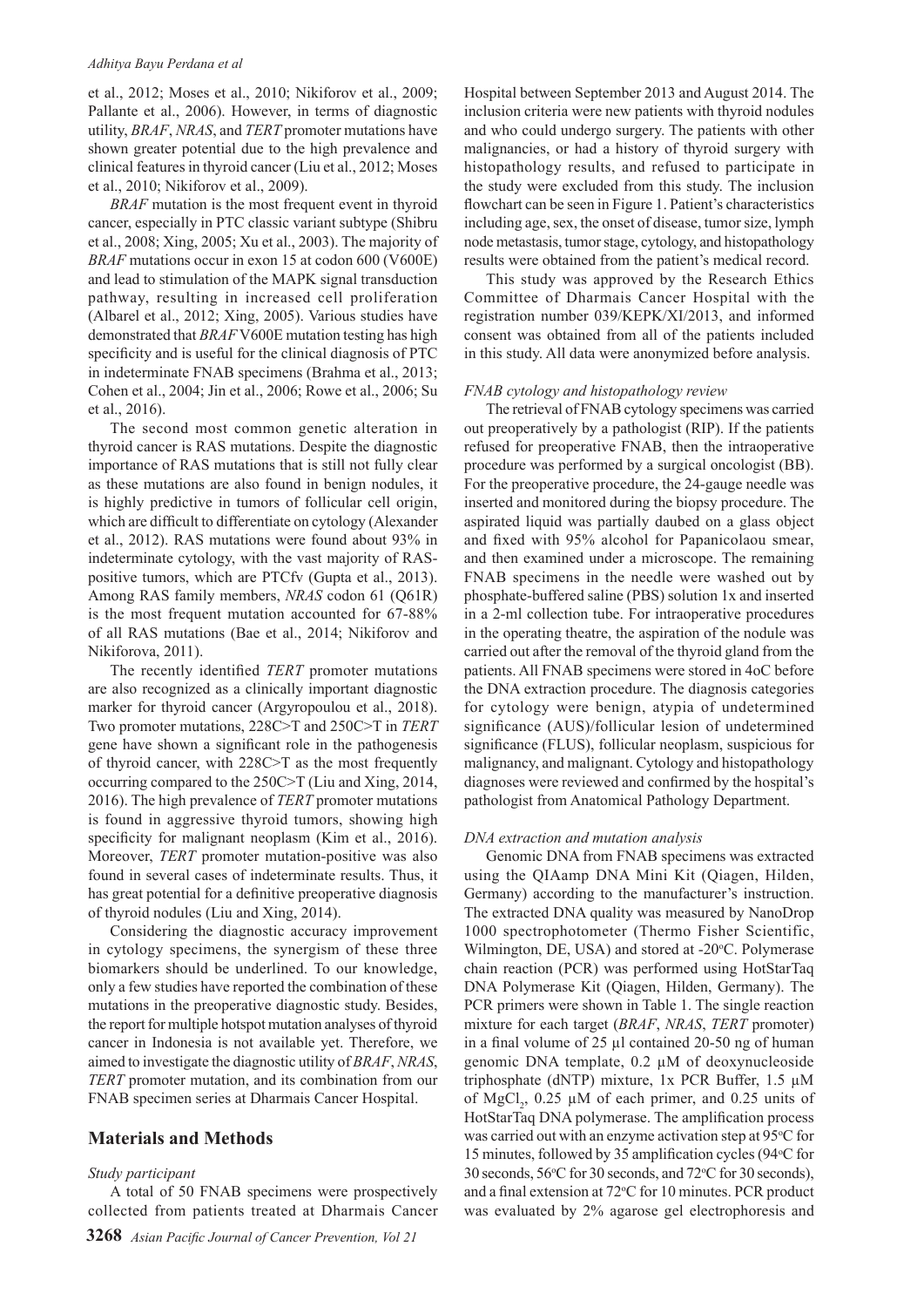#### *Adhitya Bayu Perdana et al*

et al., 2012; Moses et al., 2010; Nikiforov et al., 2009; Pallante et al., 2006). However, in terms of diagnostic utility, *BRAF*, *NRAS*, and *TERT* promoter mutations have shown greater potential due to the high prevalence and clinical features in thyroid cancer (Liu et al., 2012; Moses et al., 2010; Nikiforov et al., 2009).

*BRAF* mutation is the most frequent event in thyroid cancer, especially in PTC classic variant subtype (Shibru et al., 2008; Xing, 2005; Xu et al., 2003). The majority of *BRAF* mutations occur in exon 15 at codon 600 (V600E) and lead to stimulation of the MAPK signal transduction pathway, resulting in increased cell proliferation (Albarel et al., 2012; Xing, 2005). Various studies have demonstrated that *BRAF* V600E mutation testing has high specificity and is useful for the clinical diagnosis of PTC in indeterminate FNAB specimens (Brahma et al., 2013; Cohen et al., 2004; Jin et al., 2006; Rowe et al., 2006; Su et al., 2016).

The second most common genetic alteration in thyroid cancer is RAS mutations. Despite the diagnostic importance of RAS mutations that is still not fully clear as these mutations are also found in benign nodules, it is highly predictive in tumors of follicular cell origin, which are difficult to differentiate on cytology (Alexander et al., 2012). RAS mutations were found about 93% in indeterminate cytology, with the vast majority of RASpositive tumors, which are PTCfv (Gupta et al., 2013). Among RAS family members, *NRAS* codon 61 (Q61R) is the most frequent mutation accounted for 67-88% of all RAS mutations (Bae et al., 2014; Nikiforov and Nikiforova, 2011).

The recently identified *TERT* promoter mutations are also recognized as a clinically important diagnostic marker for thyroid cancer (Argyropoulou et al., 2018). Two promoter mutations, 228C>T and 250C>T in *TERT* gene have shown a significant role in the pathogenesis of thyroid cancer, with 228C>T as the most frequently occurring compared to the 250C>T (Liu and Xing, 2014, 2016). The high prevalence of *TERT* promoter mutations is found in aggressive thyroid tumors, showing high specificity for malignant neoplasm (Kim et al., 2016). Moreover, *TERT* promoter mutation-positive was also found in several cases of indeterminate results. Thus, it has great potential for a definitive preoperative diagnosis of thyroid nodules (Liu and Xing, 2014).

Considering the diagnostic accuracy improvement in cytology specimens, the synergism of these three biomarkers should be underlined. To our knowledge, only a few studies have reported the combination of these mutations in the preoperative diagnostic study. Besides, the report for multiple hotspot mutation analyses of thyroid cancer in Indonesia is not available yet. Therefore, we aimed to investigate the diagnostic utility of *BRAF*, *NRAS*, *TERT* promoter mutation, and its combination from our FNAB specimen series at Dharmais Cancer Hospital.

## **Materials and Methods**

#### *Study participant*

A total of 50 FNAB specimens were prospectively collected from patients treated at Dharmais Cancer Hospital between September 2013 and August 2014. The inclusion criteria were new patients with thyroid nodules and who could undergo surgery. The patients with other malignancies, or had a history of thyroid surgery with histopathology results, and refused to participate in the study were excluded from this study. The inclusion flowchart can be seen in Figure 1. Patient's characteristics including age, sex, the onset of disease, tumor size, lymph node metastasis, tumor stage, cytology, and histopathology results were obtained from the patient's medical record.

This study was approved by the Research Ethics Committee of Dharmais Cancer Hospital with the registration number 039/KEPK/XI/2013, and informed consent was obtained from all of the patients included in this study. All data were anonymized before analysis.

## *FNAB cytology and histopathology review*

The retrieval of FNAB cytology specimens was carried out preoperatively by a pathologist (RIP). If the patients refused for preoperative FNAB, then the intraoperative procedure was performed by a surgical oncologist (BB). For the preoperative procedure, the 24-gauge needle was inserted and monitored during the biopsy procedure. The aspirated liquid was partially daubed on a glass object and fixed with 95% alcohol for Papanicolaou smear, and then examined under a microscope. The remaining FNAB specimens in the needle were washed out by phosphate-buffered saline (PBS) solution 1x and inserted in a 2-ml collection tube. For intraoperative procedures in the operating theatre, the aspiration of the nodule was carried out after the removal of the thyroid gland from the patients. All FNAB specimens were stored in 4oC before the DNA extraction procedure. The diagnosis categories for cytology were benign, atypia of undetermined significance (AUS)/follicular lesion of undetermined significance (FLUS), follicular neoplasm, suspicious for malignancy, and malignant. Cytology and histopathology diagnoses were reviewed and confirmed by the hospital's pathologist from Anatomical Pathology Department.

## *DNA extraction and mutation analysis*

Genomic DNA from FNAB specimens was extracted using the QIAamp DNA Mini Kit (Qiagen, Hilden, Germany) according to the manufacturer's instruction. The extracted DNA quality was measured by NanoDrop 1000 spectrophotometer (Thermo Fisher Scientific, Wilmington, DE, USA) and stored at -20°C. Polymerase chain reaction (PCR) was performed using HotStarTaq DNA Polymerase Kit (Qiagen, Hilden, Germany). The PCR primers were shown in Table 1. The single reaction mixture for each target (*BRAF*, *NRAS*, *TERT* promoter) in a final volume of 25 µl contained 20-50 ng of human genomic DNA template, 0.2 µM of deoxynucleoside triphosphate (dNTP) mixture, 1x PCR Buffer, 1.5 µM of MgCl<sub>2</sub>, 0.25  $\mu$ M of each primer, and 0.25 units of HotStarTaq DNA polymerase. The amplification process was carried out with an enzyme activation step at 95°C for 15 minutes, followed by 35 amplification cycles (94°C for 30 seconds, 56 °C for 30 seconds, and 72 °C for 30 seconds), and a final extension at 72°C for 10 minutes. PCR product was evaluated by 2% agarose gel electrophoresis and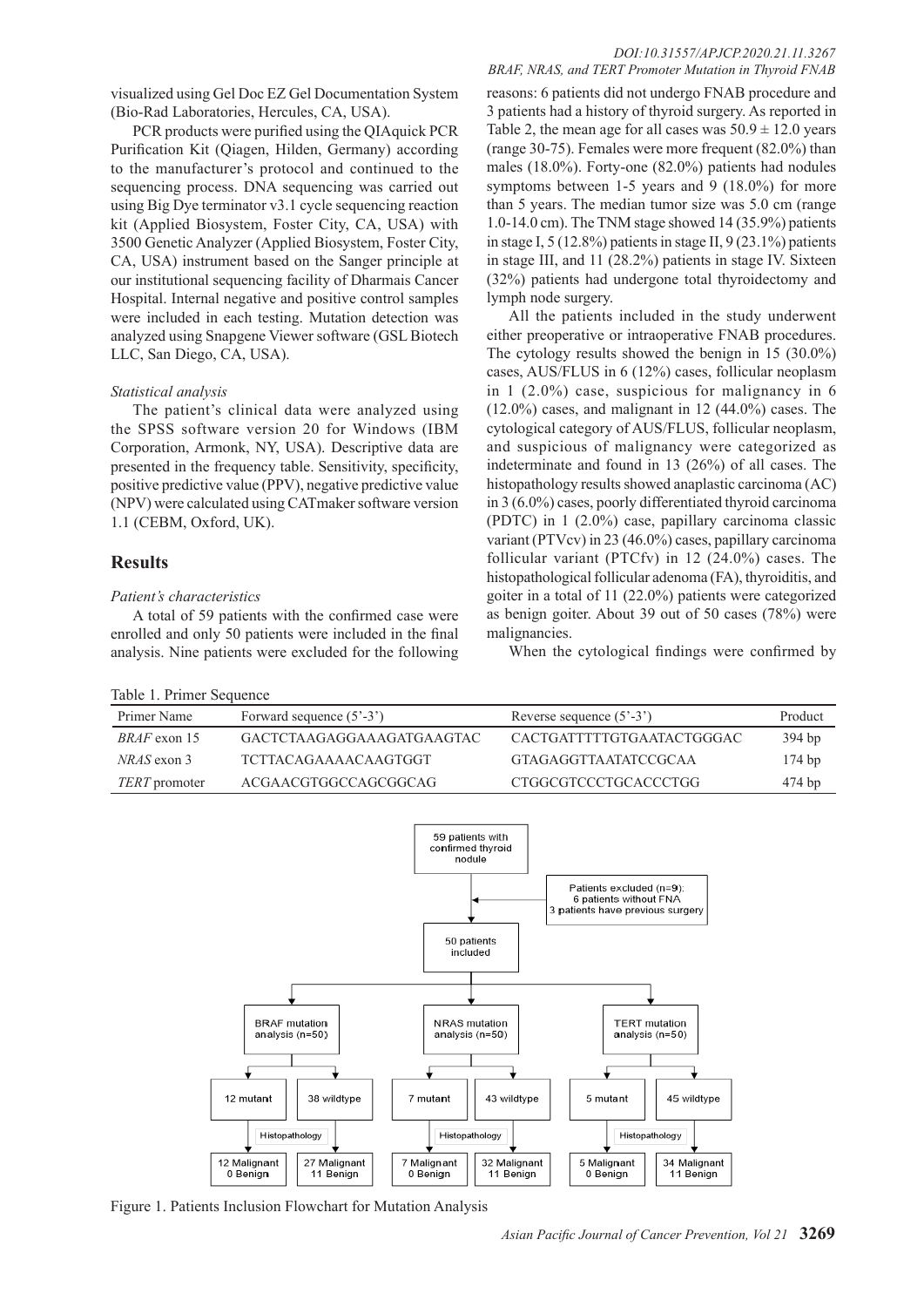## *DOI:10.31557/APJCP.2020.21.11.3267*

visualized using Gel Doc EZ Gel Documentation System (Bio-Rad Laboratories, Hercules, CA, USA).

PCR products were purified using the QIAquick PCR Purification Kit (Qiagen, Hilden, Germany) according to the manufacturer's protocol and continued to the sequencing process. DNA sequencing was carried out using Big Dye terminator v3.1 cycle sequencing reaction kit (Applied Biosystem, Foster City, CA, USA) with 3500 Genetic Analyzer (Applied Biosystem, Foster City, CA, USA) instrument based on the Sanger principle at our institutional sequencing facility of Dharmais Cancer Hospital. Internal negative and positive control samples were included in each testing. Mutation detection was analyzed using Snapgene Viewer software (GSL Biotech LLC, San Diego, CA, USA).

#### *Statistical analysis*

The patient's clinical data were analyzed using the SPSS software version 20 for Windows (IBM Corporation, Armonk, NY, USA). Descriptive data are presented in the frequency table. Sensitivity, specificity, positive predictive value (PPV), negative predictive value (NPV) were calculated using CATmaker software version 1.1 (CEBM, Oxford, UK).

## **Results**

#### *Patient's characteristics*

A total of 59 patients with the confirmed case were enrolled and only 50 patients were included in the final analysis. Nine patients were excluded for the following

|  | Table 1. Primer Sequence |  |
|--|--------------------------|--|
|  |                          |  |

| BRAF, NRAS, and TERT Promoter Mutation in Thyroid FNAB             |
|--------------------------------------------------------------------|
| reasons: 6 patients did not undergo FNAB procedure and             |
| 3 patients had a history of thyroid surgery. As reported in        |
| Table 2, the mean age for all cases was $50.9 \pm 12.0$ years      |
| (range 30-75). Females were more frequent (82.0%) than             |
| males $(18.0\%)$ . Forty-one $(82.0\%)$ patients had nodules       |
| symptoms between 1-5 years and 9 $(18.0\%)$ for more               |
| than 5 years. The median tumor size was 5.0 cm (range              |
| 1.0-14.0 cm). The TNM stage showed 14 $(35.9\%)$ patients          |
| in stage I, $5(12.8\%)$ patients in stage II, $9(23.1\%)$ patients |
| in stage III, and 11 (28.2%) patients in stage IV. Sixteen         |
| (32%) patients had undergone total thyroidectomy and               |
| lymph node surgery.                                                |

All the patients included in the study underwent either preoperative or intraoperative FNAB procedures. The cytology results showed the benign in 15 (30.0%) cases, AUS/FLUS in 6 (12%) cases, follicular neoplasm in 1 (2.0%) case, suspicious for malignancy in 6  $(12.0\%)$  cases, and malignant in 12 (44.0%) cases. The cytological category of AUS/FLUS, follicular neoplasm, and suspicious of malignancy were categorized as indeterminate and found in 13 (26%) of all cases. The histopathology results showed anaplastic carcinoma (AC) in 3 (6.0%) cases, poorly differentiated thyroid carcinoma (PDTC) in 1 (2.0%) case, papillary carcinoma classic variant (PTVcv) in 23 (46.0%) cases, papillary carcinoma follicular variant (PTCfv) in 12 (24.0%) cases. The histopathological follicular adenoma (FA), thyroiditis, and goiter in a total of 11 (22.0%) patients were categorized as benign goiter. About 39 out of 50 cases (78%) were malignancies.

When the cytological findings were confirmed by

| Table 1. Primer Sequence |                                          |                                              |          |  |  |  |
|--------------------------|------------------------------------------|----------------------------------------------|----------|--|--|--|
| Primer Name              | Forward sequence $(5^{\circ}-3^{\circ})$ | Reverse sequence $(5^{\degree}-3^{\degree})$ | Product  |  |  |  |
| <i>BRAF</i> exon 15      | GACTCTAAGAGGAAAGATGAAGTAC                | CACTGATTTTTGTGAATACTGGGAC                    | 394 bp   |  |  |  |
| NRAS exon 3              | <b>TCTTACAGAAAACAAGTGGT</b>              | <b>GTAGAGGTTAATATCCGCAA</b>                  | $174$ bp |  |  |  |
| TERT promoter            | ACGAACGTGGCCAGCGGCAG                     | CTGGCGTCCCTGCACCCTGG                         | 474 bp   |  |  |  |



Figure 1. Patients Inclusion Flowchart for Mutation Analysis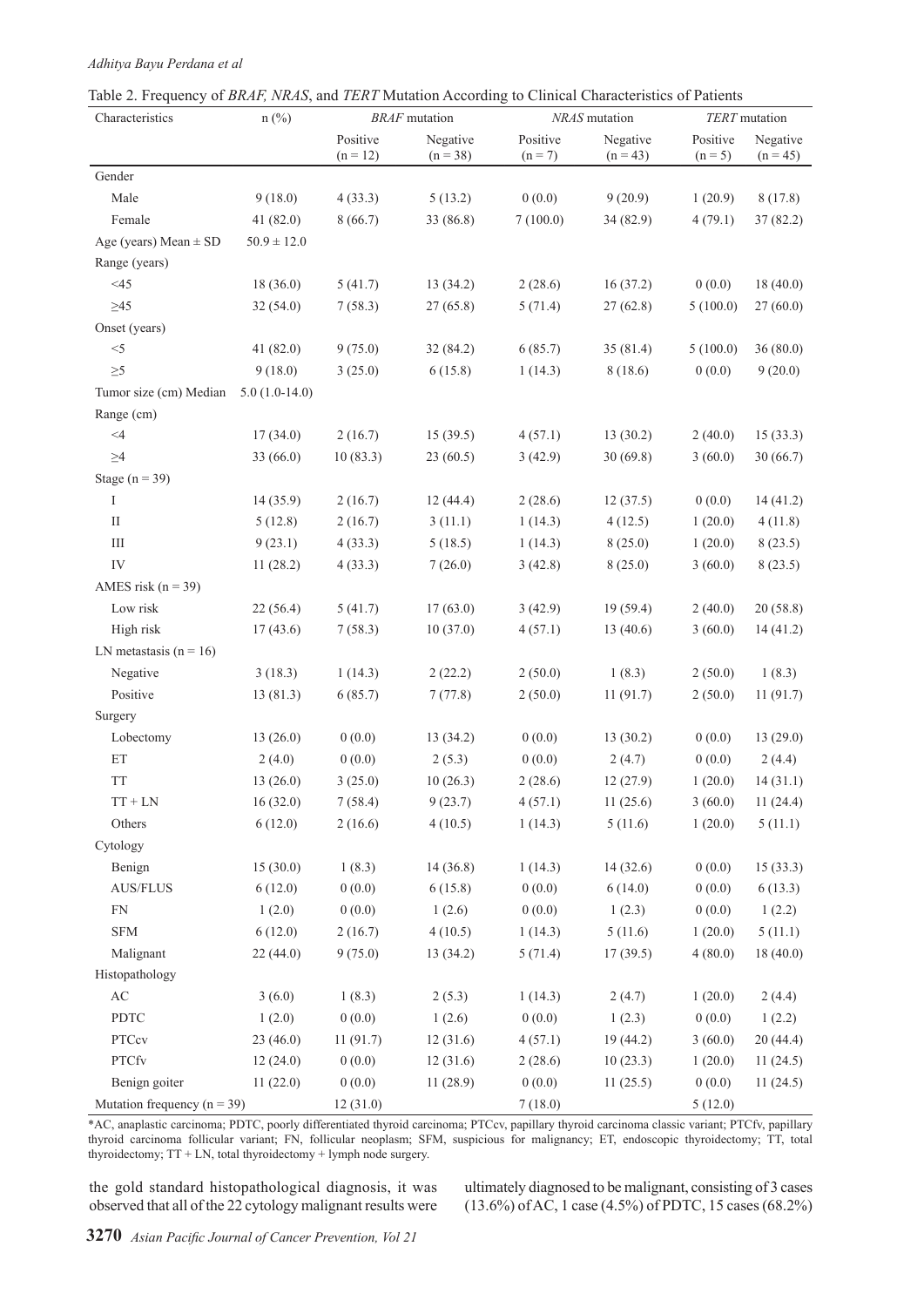## *Adhitya Bayu Perdana et al*

| raone 2. I requested of Druit, martin, and truth matument necessary to change characteristics of Famelies<br>Characteristics | $n$ (%)         |                        | <b>BRAF</b> mutation   |                       | NRAS mutation          | <b>TERT</b> mutation  |                        |
|------------------------------------------------------------------------------------------------------------------------------|-----------------|------------------------|------------------------|-----------------------|------------------------|-----------------------|------------------------|
|                                                                                                                              |                 | Positive<br>$(n = 12)$ | Negative<br>$(n = 38)$ | Positive<br>$(n = 7)$ | Negative<br>$(n = 43)$ | Positive<br>$(n = 5)$ | Negative<br>$(n = 45)$ |
| Gender                                                                                                                       |                 |                        |                        |                       |                        |                       |                        |
| Male                                                                                                                         | 9(18.0)         | 4(33.3)                | 5(13.2)                | 0(0.0)                | 9(20.9)                | 1(20.9)               | 8(17.8)                |
| Female                                                                                                                       | 41(82.0)        | 8(66.7)                | 33 (86.8)              | 7(100.0)              | 34(82.9)               | 4(79.1)               | 37(82.2)               |
| Age (years) Mean $\pm$ SD                                                                                                    | $50.9 \pm 12.0$ |                        |                        |                       |                        |                       |                        |
| Range (years)                                                                                                                |                 |                        |                        |                       |                        |                       |                        |
| $<$ 45                                                                                                                       | 18(36.0)        | 5(41.7)                | 13(34.2)               | 2(28.6)               | 16(37.2)               | 0(0.0)                | 18(40.0)               |
| $\geq 45$                                                                                                                    | 32(54.0)        | 7(58.3)                | 27(65.8)               | 5(71.4)               | 27(62.8)               | 5(100.0)              | 27(60.0)               |
| Onset (years)                                                                                                                |                 |                        |                        |                       |                        |                       |                        |
| $< \! 5$                                                                                                                     | 41(82.0)        | 9(75.0)                | 32(84.2)               | 6(85.7)               | 35(81.4)               | 5(100.0)              | 36(80.0)               |
| $\geq 5$                                                                                                                     | 9(18.0)         | 3(25.0)                | 6(15.8)                | 1(14.3)               | 8(18.6)                | 0(0.0)                | 9(20.0)                |
| Tumor size (cm) Median $5.0$ (1.0-14.0)                                                                                      |                 |                        |                        |                       |                        |                       |                        |
| Range (cm)                                                                                                                   |                 |                        |                        |                       |                        |                       |                        |
| $<\!\!4$                                                                                                                     | 17(34.0)        | 2(16.7)                | 15(39.5)               | 4(57.1)               | 13(30.2)               | 2(40.0)               | 15(33.3)               |
| $\geq 4$                                                                                                                     | 33(66.0)        | 10(83.3)               | 23(60.5)               | 3(42.9)               | 30(69.8)               | 3(60.0)               | 30(66.7)               |
| Stage $(n = 39)$                                                                                                             |                 |                        |                        |                       |                        |                       |                        |
| I                                                                                                                            | 14(35.9)        | 2(16.7)                | 12(44.4)               | 2(28.6)               | 12(37.5)               | 0(0.0)                | 14(41.2)               |
| $\rm II$                                                                                                                     | 5(12.8)         | 2(16.7)                | 3(11.1)                | 1(14.3)               | 4(12.5)                | 1(20.0)               | 4(11.8)                |
| $\rm III$                                                                                                                    | 9(23.1)         | 4(33.3)                | 5(18.5)                | 1(14.3)               | 8(25.0)                | 1(20.0)               | 8(23.5)                |
| IV                                                                                                                           | 11(28.2)        | 4(33.3)                | 7(26.0)                | 3(42.8)               | 8(25.0)                | 3(60.0)               | 8(23.5)                |
| AMES risk ( $n = 39$ )                                                                                                       |                 |                        |                        |                       |                        |                       |                        |
| Low risk                                                                                                                     | 22(56.4)        | 5(41.7)                | 17(63.0)               | 3(42.9)               | 19(59.4)               | 2(40.0)               | 20(58.8)               |
| High risk                                                                                                                    | 17(43.6)        | 7(58.3)                | 10(37.0)               | 4(57.1)               | 13(40.6)               | 3(60.0)               | 14(41.2)               |
| LN metastasis $(n = 16)$                                                                                                     |                 |                        |                        |                       |                        |                       |                        |
| Negative                                                                                                                     | 3(18.3)         | 1(14.3)                | 2(22.2)                | 2(50.0)               | 1(8.3)                 | 2(50.0)               | 1(8.3)                 |
| Positive                                                                                                                     | 13(81.3)        | 6(85.7)                | 7(77.8)                | 2(50.0)               | 11(91.7)               | 2(50.0)               | 11(91.7)               |
| Surgery                                                                                                                      |                 |                        |                        |                       |                        |                       |                        |
| Lobectomy                                                                                                                    | 13(26.0)        | 0(0.0)                 | 13(34.2)               | 0(0.0)                | 13(30.2)               | 0(0.0)                | 13(29.0)               |
| $\mathop{\rm ET}\nolimits$                                                                                                   | 2(4.0)          | 0(0.0)                 | 2(5.3)                 | 0(0.0)                | 2(4.7)                 | 0(0.0)                | 2(4.4)                 |
| <b>TT</b>                                                                                                                    | 13(26.0)        | 3(25.0)                | 10(26.3)               | 2(28.6)               | 12(27.9)               | 1(20.0)               | 14(31.1)               |
| $TT + LN$                                                                                                                    | 16(32.0)        | 7(58.4)                | 9(23.7)                | 4(57.1)               | 11(25.6)               | 3(60.0)               | 11(24.4)               |
| Others                                                                                                                       | 6(12.0)         | 2(16.6)                | 4(10.5)                | 1(14.3)               | 5(11.6)                | 1(20.0)               | 5(11.1)                |
| Cytology                                                                                                                     |                 |                        |                        |                       |                        |                       |                        |
| Benign                                                                                                                       | 15(30.0)        | 1(8.3)                 | 14(36.8)               | 1(14.3)               | 14(32.6)               | 0(0.0)                | 15(33.3)               |
| <b>AUS/FLUS</b>                                                                                                              | 6(12.0)         | 0(0.0)                 | 6(15.8)                | 0(0.0)                | 6(14.0)                | 0(0.0)                | 6(13.3)                |
| ${\rm FN}$                                                                                                                   | 1(2.0)          | 0(0.0)                 | 1(2.6)                 | 0(0.0)                | 1(2.3)                 | 0(0.0)                | 1(2.2)                 |
| <b>SFM</b>                                                                                                                   | 6(12.0)         | 2(16.7)                | 4(10.5)                | 1(14.3)               | 5(11.6)                | 1(20.0)               | 5(11.1)                |
| Malignant                                                                                                                    | 22(44.0)        | 9(75.0)                | 13(34.2)               | 5(71.4)               | 17(39.5)               | 4(80.0)               | 18(40.0)               |
| Histopathology                                                                                                               |                 |                        |                        |                       |                        |                       |                        |
| $\mathbf{A}\mathbf{C}$                                                                                                       | 3(6.0)          | 1(8.3)                 | 2(5.3)                 | 1(14.3)               | 2(4.7)                 | 1(20.0)               | 2(4.4)                 |
| PDTC                                                                                                                         | 1(2.0)          | 0(0.0)                 | 1(2.6)                 | 0(0.0)                | 1(2.3)                 | 0(0.0)                | 1(2.2)                 |
| PTCcv                                                                                                                        | 23 (46.0)       | 11(91.7)               | 12(31.6)               | 4(57.1)               | 19 (44.2)              | 3(60.0)               | 20(44.4)               |
| <b>PTCfv</b>                                                                                                                 | 12(24.0)        | 0(0.0)                 | 12(31.6)               | 2(28.6)               | 10(23.3)               | 1(20.0)               | 11(24.5)               |
| Benign goiter                                                                                                                | 11(22.0)        | 0(0.0)                 | 11(28.9)               | 0(0.0)                | 11(25.5)               | 0(0.0)                | 11(24.5)               |
| Mutation frequency ( $n = 39$ )                                                                                              |                 | 12(31.0)               |                        | 7(18.0)               |                        | 5(12.0)               |                        |

\*AC, anaplastic carcinoma; PDTC, poorly differentiated thyroid carcinoma; PTCcv, papillary thyroid carcinoma classic variant; PTCfv, papillary thyroid carcinoma follicular variant; FN, follicular neoplasm; SFM, suspicious for malignancy; ET, endoscopic thyroidectomy; TT, total thyroidectomy; TT + LN, total thyroidectomy + lymph node surgery.

the gold standard histopathological diagnosis, it was observed that all of the 22 cytology malignant results were

ultimately diagnosed to be malignant, consisting of 3 cases (13.6%) of AC, 1 case (4.5%) of PDTC, 15 cases (68.2%)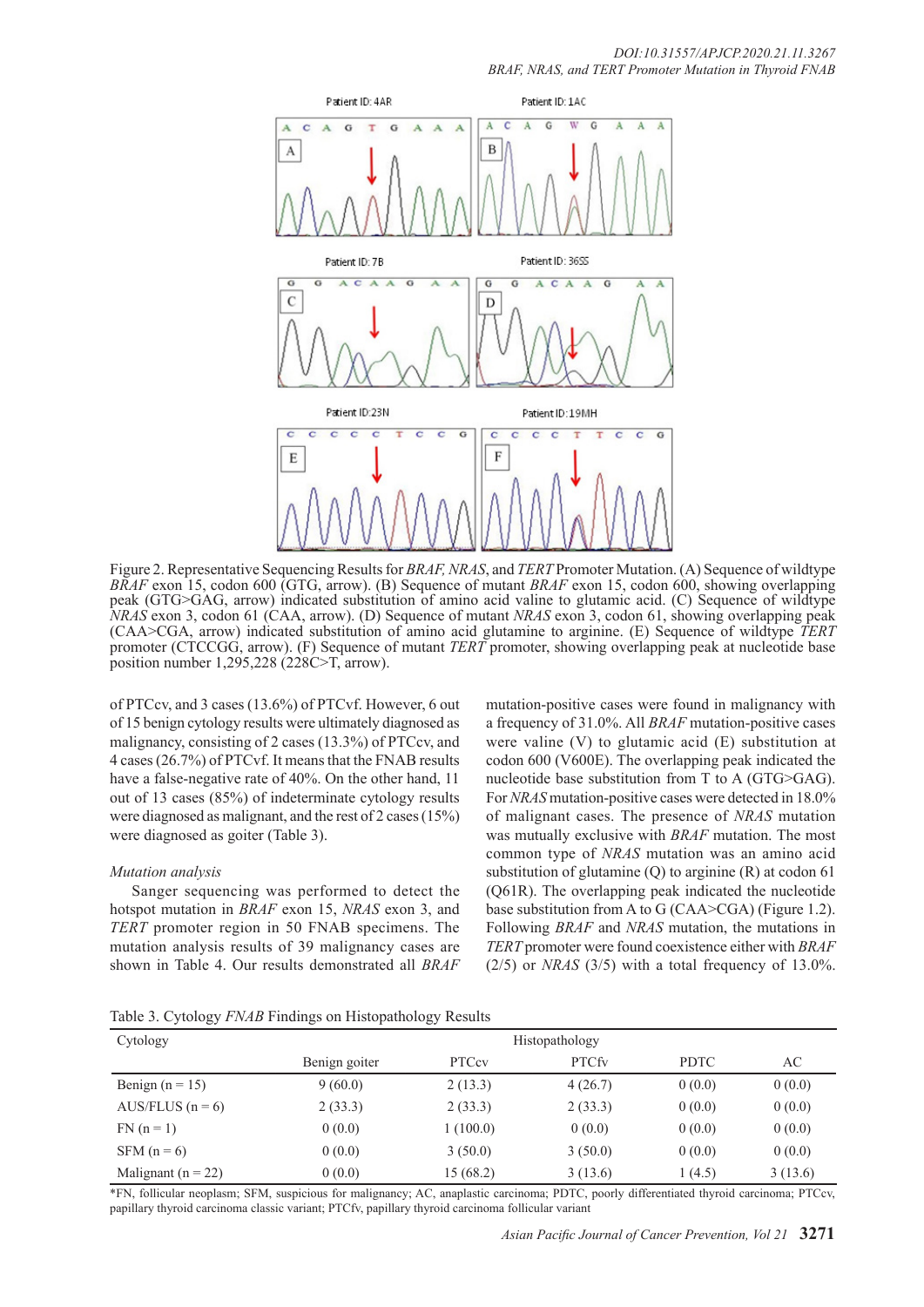

Figure 2. Representative Sequencing Results for *BRAF, NRAS*, and *TERT* Promoter Mutation. (A) Sequence of wildtype *BRAF* exon 15, codon 600 (GTG, arrow). (B) Sequence of mutant *BRAF* exon 15, codon 600, showing overlapping peak (GTG>GAG, arrow) indicated substitution of amino acid valine to glutamic acid. (C) Sequence of wildtype *NRAS* exon 3, codon 61 (CAA, arrow). (D) Sequence of mutant *NRAS* exon 3, codon 61, showing overlapping peak (CAA>CGA, arrow) indicated substitution of amino acid glutamine to arginine. (E) Sequence of wildtype *TERT*  promoter (CTCCGG, arrow). (F) Sequence of mutant *TERT* promoter, showing overlapping peak at nucleotide base position number 1,295,228 (228C>T, arrow).

of PTCcv, and 3 cases (13.6%) of PTCvf. However, 6 out of 15 benign cytology results were ultimately diagnosed as malignancy, consisting of 2 cases (13.3%) of PTCcv, and 4 cases (26.7%) of PTCvf. It means that the FNAB results have a false-negative rate of 40%. On the other hand, 11 out of 13 cases (85%) of indeterminate cytology results were diagnosed as malignant, and the rest of 2 cases (15%) were diagnosed as goiter (Table 3).

## *Mutation analysis*

Sanger sequencing was performed to detect the hotspot mutation in *BRAF* exon 15, *NRAS* exon 3, and *TERT* promoter region in 50 FNAB specimens. The mutation analysis results of 39 malignancy cases are shown in Table 4. Our results demonstrated all *BRAF*

mutation-positive cases were found in malignancy with a frequency of 31.0%. All *BRAF* mutation-positive cases were valine (V) to glutamic acid (E) substitution at codon 600 (V600E). The overlapping peak indicated the nucleotide base substitution from T to A (GTG>GAG). For *NRAS* mutation-positive cases were detected in 18.0% of malignant cases. The presence of *NRAS* mutation was mutually exclusive with *BRAF* mutation. The most common type of *NRAS* mutation was an amino acid substitution of glutamine (Q) to arginine (R) at codon 61 (Q61R). The overlapping peak indicated the nucleotide base substitution from A to G (CAA>CGA) (Figure 1.2). Following *BRAF* and *NRAS* mutation, the mutations in *TERT* promoter were found coexistence either with *BRAF* (2/5) or *NRAS* (3/5) with a total frequency of 13.0%.

|  | Table 3. Cytology FNAB Findings on Histopathology Results |  |  |
|--|-----------------------------------------------------------|--|--|
|  |                                                           |  |  |

| Cytology               | Histopathology |              |              |             |         |  |
|------------------------|----------------|--------------|--------------|-------------|---------|--|
|                        | Benign goiter  | <b>PTCcv</b> | <b>PTCfv</b> | <b>PDTC</b> | AC      |  |
| Benign $(n = 15)$      | 9(60.0)        | 2(13.3)      | 4(26.7)      | 0(0.0)      | 0(0.0)  |  |
| AUS/FLUS $(n = 6)$     | 2(33.3)        | 2(33.3)      | 2(33.3)      | 0(0.0)      | 0(0.0)  |  |
| $FN (n = 1)$           | 0(0.0)         | 1(100.0)     | 0(0.0)       | 0(0.0)      | 0(0.0)  |  |
| $SFM(n=6)$             | 0(0.0)         | 3(50.0)      | 3(50.0)      | 0(0.0)      | 0(0.0)  |  |
| Malignant ( $n = 22$ ) | 0(0.0)         | 15 (68.2)    | 3(13.6)      | 1(4.5)      | 3(13.6) |  |

\*FN, follicular neoplasm; SFM, suspicious for malignancy; AC, anaplastic carcinoma; PDTC, poorly differentiated thyroid carcinoma; PTCcv, papillary thyroid carcinoma classic variant; PTCfv, papillary thyroid carcinoma follicular variant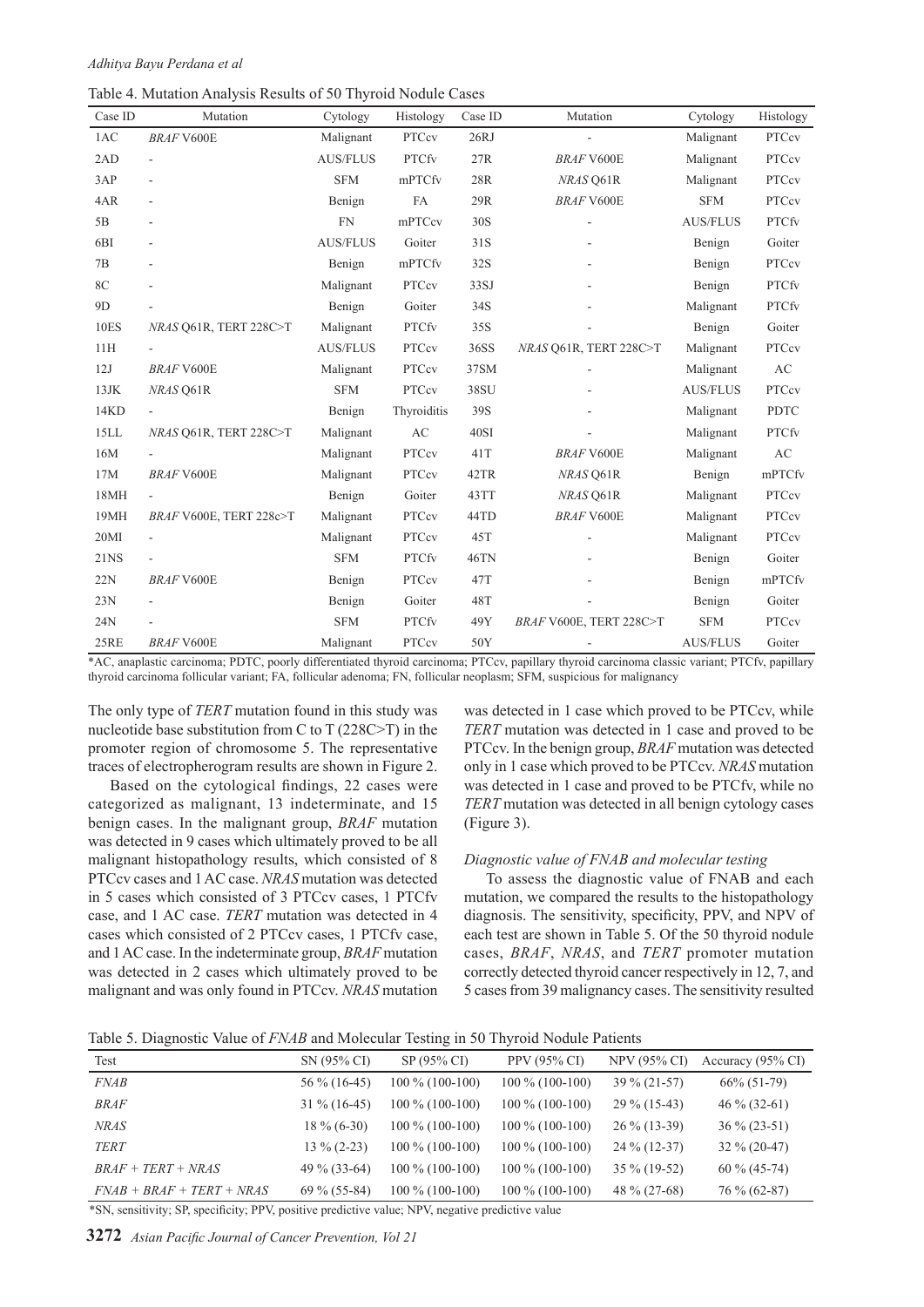Table 4. Mutation Analysis Results of 50 Thyroid Nodule Cases

| Case ID         | Mutation                 | Cytology        | Histology    | Case ID | Mutation                | Cytology        | Histology              |
|-----------------|--------------------------|-----------------|--------------|---------|-------------------------|-----------------|------------------------|
| 1AC             | <b>BRAF V600E</b>        | Malignant       | PTCcv        | 26RJ    |                         | Malignant       | PTCcv                  |
| 2AD             | $\overline{\phantom{a}}$ | <b>AUS/FLUS</b> | <b>PTCfv</b> | 27R     | <b>BRAF V600E</b>       | Malignant       | PTCcv                  |
| 3AP             | ÷,                       | <b>SFM</b>      | mPTCfv       | 28R     | NRAS Q61R               | Malignant       | PTCcv                  |
| 4AR             | ÷                        | Benign          | <b>FA</b>    | 29R     | <b>BRAF V600E</b>       | <b>SFM</b>      | PTCcv                  |
| 5B              | $\overline{\phantom{m}}$ | <b>FN</b>       | mPTCcv       | 30S     |                         | <b>AUS/FLUS</b> | <b>PTCfv</b>           |
| 6 <sub>BI</sub> |                          | <b>AUS/FLUS</b> | Goiter       | 31S     |                         | Benign          | Goiter                 |
| 7B              |                          | Benign          | mPTCfv       | 32S     |                         | Benign          | PTCcv                  |
| 8C              |                          | Malignant       | PTCcv        | 33SJ    |                         | Benign          | <b>PTCfv</b>           |
| 9 <sub>D</sub>  |                          | Benign          | Goiter       | 34S     |                         | Malignant       | <b>PTCfv</b>           |
| <b>10ES</b>     | NRAS Q61R, TERT 228C>T   | Malignant       | <b>PTCfv</b> | 35S     |                         | Benign          | Goiter                 |
| 11H             |                          | <b>AUS/FLUS</b> | PTCcv        | 36SS    | NRAS Q61R, TERT 228C>T  | Malignant       | PTCcv                  |
| 12J             | <b>BRAF V600E</b>        | Malignant       | PTCcv        | 37SM    |                         | Malignant       | AC                     |
| $13$ JK         | NRAS Q61R                | <b>SFM</b>      | PTCcv        | 38SU    |                         | <b>AUS/FLUS</b> | PTCcv                  |
| 14KD            | $\mathbf{r}$             | Benign          | Thyroiditis  | 39S     |                         | Malignant       | <b>PDTC</b>            |
| 15LL            | NRAS Q61R, TERT 228C>T   | Malignant       | AC           | 40SI    |                         | Malignant       | <b>PTCfv</b>           |
| 16M             |                          | Malignant       | PTCcv        | 41T     | <b>BRAF V600E</b>       | Malignant       | $\mathbf{A}\mathbf{C}$ |
| 17M             | <b>BRAF V600E</b>        | Malignant       | PTCcv        | 42TR    | NRAS Q61R               | Benign          | mPTCfv                 |
| 18MH            | $\overline{\phantom{a}}$ | Benign          | Goiter       | 43TT    | NRAS Q61R               | Malignant       | PTCcv                  |
| 19MH            | BRAF V600E, TERT 228c>T  | Malignant       | PTCcv        | 44TD    | <b>BRAF V600E</b>       | Malignant       | PTCcv                  |
| 20MI            | $\blacksquare$           | Malignant       | PTCcv        | 45T     |                         | Malignant       | PTCcv                  |
| <b>21NS</b>     |                          | <b>SFM</b>      | <b>PTCfv</b> | 46TN    |                         | Benign          | Goiter                 |
| 22N             | <b>BRAF V600E</b>        | Benign          | PTCcv        | 47T     |                         | Benign          | mPTCfv                 |
| 23N             |                          | Benign          | Goiter       | 48T     |                         | Benign          | Goiter                 |
| 24N             |                          | <b>SFM</b>      | <b>PTCfv</b> | 49Y     | BRAF V600E, TERT 228C>T | <b>SFM</b>      | PTCcv                  |
| 25RE            | <b>BRAF V600E</b>        | Malignant       | PTCcv        | 50Y     |                         | <b>AUS/FLUS</b> | Goiter                 |

\*AC, anaplastic carcinoma; PDTC, poorly differentiated thyroid carcinoma; PTCcv, papillary thyroid carcinoma classic variant; PTCfv, papillary thyroid carcinoma follicular variant; FA, follicular adenoma; FN, follicular neoplasm; SFM, suspicious for malignancy

The only type of *TERT* mutation found in this study was nucleotide base substitution from C to T (228C>T) in the promoter region of chromosome 5. The representative traces of electropherogram results are shown in Figure 2.

Based on the cytological findings, 22 cases were categorized as malignant, 13 indeterminate, and 15 benign cases. In the malignant group, *BRAF* mutation was detected in 9 cases which ultimately proved to be all malignant histopathology results, which consisted of 8 PTCcv cases and 1 AC case. *NRAS* mutation was detected in 5 cases which consisted of 3 PTCcv cases, 1 PTCfv case, and 1 AC case. *TERT* mutation was detected in 4 cases which consisted of 2 PTCcv cases, 1 PTCfv case, and 1 AC case. In the indeterminate group, *BRAF* mutation was detected in 2 cases which ultimately proved to be malignant and was only found in PTCcv. *NRAS* mutation

was detected in 1 case which proved to be PTCcv, while *TERT* mutation was detected in 1 case and proved to be PTCcv. In the benign group, *BRAF* mutation was detected only in 1 case which proved to be PTCcv. *NRAS* mutation was detected in 1 case and proved to be PTCfv, while no *TERT* mutation was detected in all benign cytology cases (Figure 3).

#### *Diagnostic value of FNAB and molecular testing*

To assess the diagnostic value of FNAB and each mutation, we compared the results to the histopathology diagnosis. The sensitivity, specificity, PPV, and NPV of each test are shown in Table 5. Of the 50 thyroid nodule cases, *BRAF*, *NRAS*, and *TERT* promoter mutation correctly detected thyroid cancer respectively in 12, 7, and 5 cases from 39 malignancy cases. The sensitivity resulted

| Table 5. Diagnostic Value of FNAB and Molecular Testing in 50 Thyroid Nodule Patients |  |  |  |
|---------------------------------------------------------------------------------------|--|--|--|
|                                                                                       |  |  |  |

| Test                        | SN (95% CI)     | SP (95% CI)       | PPV (95% CI)      | <b>NPV (95% CI)</b> | Accuracy (95% CI) |
|-----------------------------|-----------------|-------------------|-------------------|---------------------|-------------------|
| <i>FNAB</i>                 | $56\%$ (16-45)  | $100\%$ (100-100) | $100\%$ (100-100) | $39\% (21-57)$      | $66\% (51-79)$    |
| <b>BRAF</b>                 | $31\% (16-45)$  | $100\%$ (100-100) | $100\%$ (100-100) | $29\%$ (15-43)      | $46\%$ (32-61)    |
| <b>NRAS</b>                 | $18\% (6-30)$   | $100\%$ (100-100) | $100\%$ (100-100) | $26\% (13-39)$      | $36\% (23-51)$    |
| <b>TERT</b>                 | $13\% (2-23)$   | $100\%$ (100-100) | $100\%$ (100-100) | $24\%$ (12-37)      | $32\% (20-47)$    |
| $BRAF + TERT + NRAS$        | 49 $\%$ (33-64) | $100\%$ (100-100) | $100\%$ (100-100) | $35\%$ (19-52)      | $60\% (45-74)$    |
| $FNAB + BRAF + TERT + NRAS$ | $69\% (55-84)$  | $100\%$ (100-100) | $100\%$ (100-100) | 48 % (27-68)        | $76\% (62-87)$    |

\*SN, sensitivity; SP, specificity; PPV, positive predictive value; NPV, negative predictive value

**3272** *Asian Pacific Journal of Cancer Prevention, Vol 21*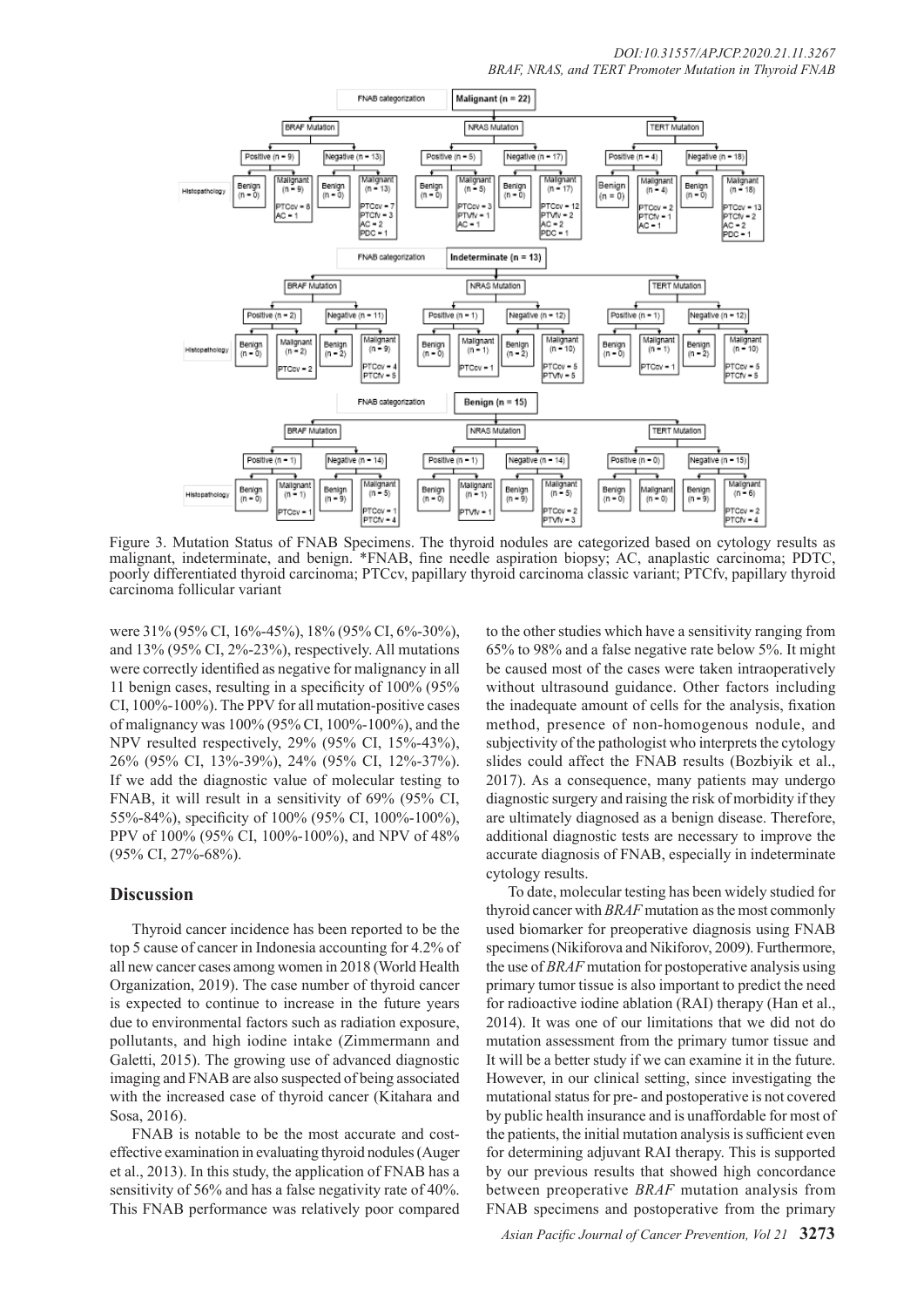

Figure 3. Mutation Status of FNAB Specimens. The thyroid nodules are categorized based on cytology results as malignant, indeterminate, and benign. \*FNAB, fine needle aspiration biopsy; AC, anaplastic carcinoma; PDTC, poorly differentiated thyroid carcinoma; PTCcv, papillary thyroid carcinoma classic variant; PTCfv, papillary thyroid carcinoma follicular variant

were 31% (95% CI, 16%-45%), 18% (95% CI, 6%-30%), and 13% (95% CI, 2%-23%), respectively. All mutations were correctly identified as negative for malignancy in all 11 benign cases, resulting in a specificity of 100% (95% CI, 100%-100%). The PPV for all mutation-positive cases of malignancy was 100% (95% CI, 100%-100%), and the NPV resulted respectively, 29% (95% CI, 15%-43%), 26% (95% CI, 13%-39%), 24% (95% CI, 12%-37%). If we add the diagnostic value of molecular testing to FNAB, it will result in a sensitivity of 69% (95% CI, 55%-84%), specificity of 100% (95% CI, 100%-100%), PPV of 100% (95% CI, 100%-100%), and NPV of 48% (95% CI, 27%-68%).

## **Discussion**

Thyroid cancer incidence has been reported to be the top 5 cause of cancer in Indonesia accounting for 4.2% of all new cancer cases among women in 2018 (World Health Organization, 2019). The case number of thyroid cancer is expected to continue to increase in the future years due to environmental factors such as radiation exposure, pollutants, and high iodine intake (Zimmermann and Galetti, 2015). The growing use of advanced diagnostic imaging and FNAB are also suspected of being associated with the increased case of thyroid cancer (Kitahara and Sosa, 2016).

FNAB is notable to be the most accurate and costeffective examination in evaluating thyroid nodules (Auger et al., 2013). In this study, the application of FNAB has a sensitivity of 56% and has a false negativity rate of 40%. This FNAB performance was relatively poor compared to the other studies which have a sensitivity ranging from 65% to 98% and a false negative rate below 5%. It might be caused most of the cases were taken intraoperatively without ultrasound guidance. Other factors including the inadequate amount of cells for the analysis, fixation method, presence of non-homogenous nodule, and subjectivity of the pathologist who interprets the cytology slides could affect the FNAB results (Bozbiyik et al., 2017). As a consequence, many patients may undergo diagnostic surgery and raising the risk of morbidity if they are ultimately diagnosed as a benign disease. Therefore, additional diagnostic tests are necessary to improve the accurate diagnosis of FNAB, especially in indeterminate cytology results.

To date, molecular testing has been widely studied for thyroid cancer with *BRAF* mutation as the most commonly used biomarker for preoperative diagnosis using FNAB specimens (Nikiforova and Nikiforov, 2009). Furthermore, the use of *BRAF* mutation for postoperative analysis using primary tumor tissue is also important to predict the need for radioactive iodine ablation (RAI) therapy (Han et al., 2014). It was one of our limitations that we did not do mutation assessment from the primary tumor tissue and It will be a better study if we can examine it in the future. However, in our clinical setting, since investigating the mutational status for pre- and postoperative is not covered by public health insurance and is unaffordable for most of the patients, the initial mutation analysis is sufficient even for determining adjuvant RAI therapy. This is supported by our previous results that showed high concordance between preoperative *BRAF* mutation analysis from FNAB specimens and postoperative from the primary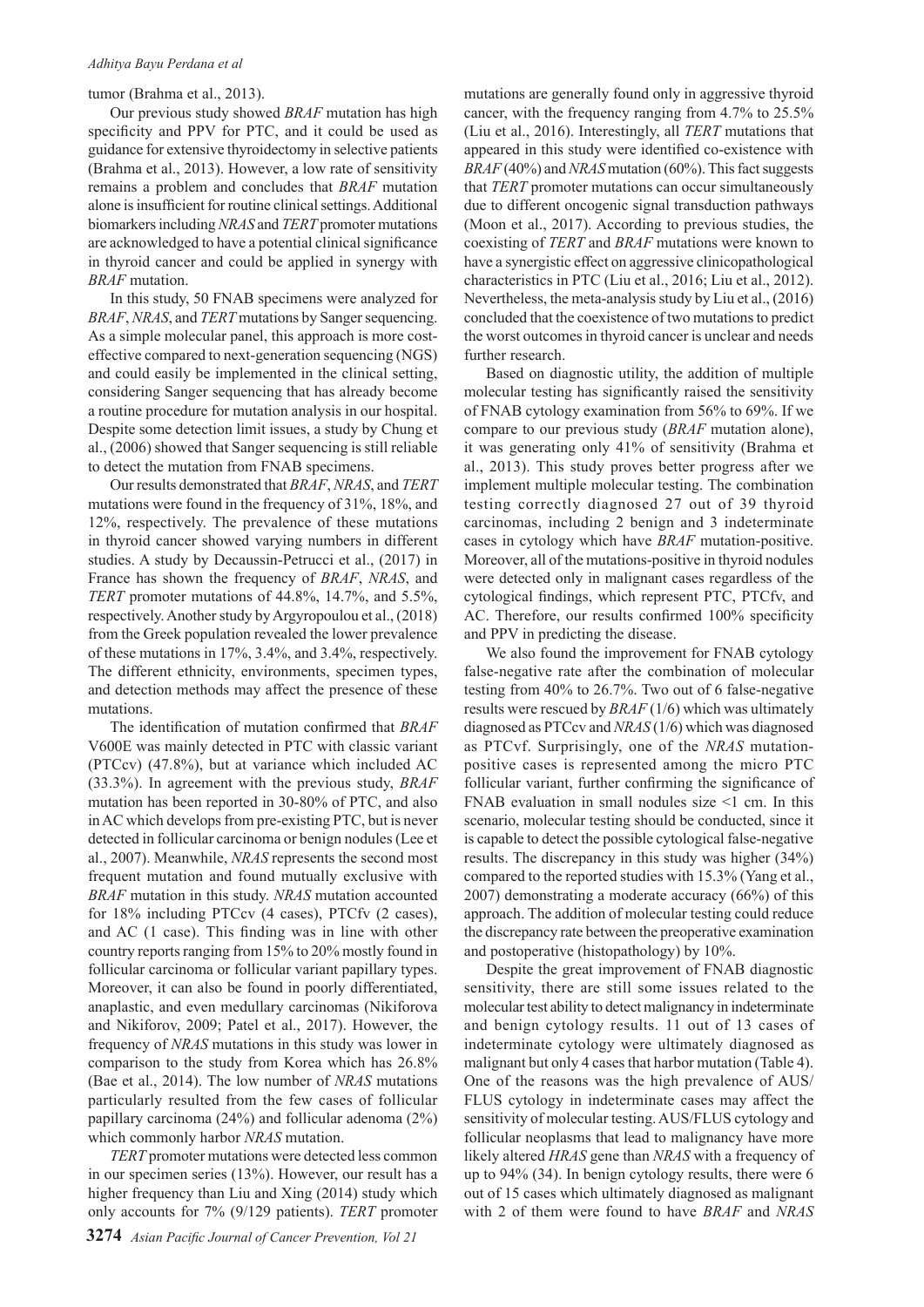#### *Adhitya Bayu Perdana et al*

## tumor (Brahma et al., 2013).

Our previous study showed *BRAF* mutation has high specificity and PPV for PTC, and it could be used as guidance for extensive thyroidectomy in selective patients (Brahma et al., 2013). However, a low rate of sensitivity remains a problem and concludes that *BRAF* mutation alone is insufficient for routine clinical settings. Additional biomarkers including *NRAS* and *TERT* promoter mutations are acknowledged to have a potential clinical significance in thyroid cancer and could be applied in synergy with *BRAF* mutation.

In this study, 50 FNAB specimens were analyzed for *BRAF*, *NRAS*, and *TERT* mutations by Sanger sequencing. As a simple molecular panel, this approach is more costeffective compared to next-generation sequencing (NGS) and could easily be implemented in the clinical setting, considering Sanger sequencing that has already become a routine procedure for mutation analysis in our hospital. Despite some detection limit issues, a study by Chung et al., (2006) showed that Sanger sequencing is still reliable to detect the mutation from FNAB specimens.

Our results demonstrated that *BRAF*, *NRAS*, and *TERT* mutations were found in the frequency of 31%, 18%, and 12%, respectively. The prevalence of these mutations in thyroid cancer showed varying numbers in different studies. A study by Decaussin-Petrucci et al., (2017) in France has shown the frequency of *BRAF*, *NRAS*, and *TERT* promoter mutations of 44.8%, 14.7%, and 5.5%, respectively. Another study by Argyropoulou et al., (2018) from the Greek population revealed the lower prevalence of these mutations in 17%, 3.4%, and 3.4%, respectively. The different ethnicity, environments, specimen types, and detection methods may affect the presence of these mutations.

The identification of mutation confirmed that *BRAF* V600E was mainly detected in PTC with classic variant (PTCcv) (47.8%), but at variance which included AC (33.3%). In agreement with the previous study, *BRAF* mutation has been reported in 30-80% of PTC, and also in AC which develops from pre-existing PTC, but is never detected in follicular carcinoma or benign nodules (Lee et al., 2007). Meanwhile, *NRAS* represents the second most frequent mutation and found mutually exclusive with *BRAF* mutation in this study. *NRAS* mutation accounted for 18% including PTCcv (4 cases), PTCfv (2 cases), and AC (1 case). This finding was in line with other country reports ranging from 15% to 20% mostly found in follicular carcinoma or follicular variant papillary types. Moreover, it can also be found in poorly differentiated, anaplastic, and even medullary carcinomas (Nikiforova and Nikiforov, 2009; Patel et al., 2017). However, the frequency of *NRAS* mutations in this study was lower in comparison to the study from Korea which has 26.8% (Bae et al., 2014). The low number of *NRAS* mutations particularly resulted from the few cases of follicular papillary carcinoma (24%) and follicular adenoma (2%) which commonly harbor *NRAS* mutation.

*TERT* promoter mutations were detected less common in our specimen series (13%). However, our result has a higher frequency than Liu and Xing (2014) study which only accounts for 7% (9/129 patients). *TERT* promoter mutations are generally found only in aggressive thyroid cancer, with the frequency ranging from 4.7% to 25.5% (Liu et al., 2016). Interestingly, all *TERT* mutations that appeared in this study were identified co-existence with *BRAF* (40%) and *NRAS* mutation (60%). This fact suggests that *TERT* promoter mutations can occur simultaneously due to different oncogenic signal transduction pathways (Moon et al., 2017). According to previous studies, the coexisting of *TERT* and *BRAF* mutations were known to have a synergistic effect on aggressive clinicopathological characteristics in PTC (Liu et al., 2016; Liu et al., 2012). Nevertheless, the meta-analysis study by Liu et al., (2016) concluded that the coexistence of two mutations to predict the worst outcomes in thyroid cancer is unclear and needs further research.

Based on diagnostic utility, the addition of multiple molecular testing has significantly raised the sensitivity of FNAB cytology examination from 56% to 69%. If we compare to our previous study (*BRAF* mutation alone), it was generating only 41% of sensitivity (Brahma et al., 2013). This study proves better progress after we implement multiple molecular testing. The combination testing correctly diagnosed 27 out of 39 thyroid carcinomas, including 2 benign and 3 indeterminate cases in cytology which have *BRAF* mutation-positive. Moreover, all of the mutations-positive in thyroid nodules were detected only in malignant cases regardless of the cytological findings, which represent PTC, PTCfv, and AC. Therefore, our results confirmed 100% specificity and PPV in predicting the disease.

We also found the improvement for FNAB cytology false-negative rate after the combination of molecular testing from 40% to 26.7%. Two out of 6 false-negative results were rescued by *BRAF* (1/6) which was ultimately diagnosed as PTCcv and *NRAS* (1/6) which was diagnosed as PTCvf. Surprisingly, one of the *NRAS* mutationpositive cases is represented among the micro PTC follicular variant, further confirming the significance of FNAB evaluation in small nodules size <1 cm. In this scenario, molecular testing should be conducted, since it is capable to detect the possible cytological false-negative results. The discrepancy in this study was higher (34%) compared to the reported studies with 15.3% (Yang et al., 2007) demonstrating a moderate accuracy (66%) of this approach. The addition of molecular testing could reduce the discrepancy rate between the preoperative examination and postoperative (histopathology) by 10%.

Despite the great improvement of FNAB diagnostic sensitivity, there are still some issues related to the molecular test ability to detect malignancy in indeterminate and benign cytology results. 11 out of 13 cases of indeterminate cytology were ultimately diagnosed as malignant but only 4 cases that harbor mutation (Table 4). One of the reasons was the high prevalence of AUS/ FLUS cytology in indeterminate cases may affect the sensitivity of molecular testing. AUS/FLUS cytology and follicular neoplasms that lead to malignancy have more likely altered *HRAS* gene than *NRAS* with a frequency of up to 94% (34). In benign cytology results, there were 6 out of 15 cases which ultimately diagnosed as malignant with 2 of them were found to have *BRAF* and *NRAS*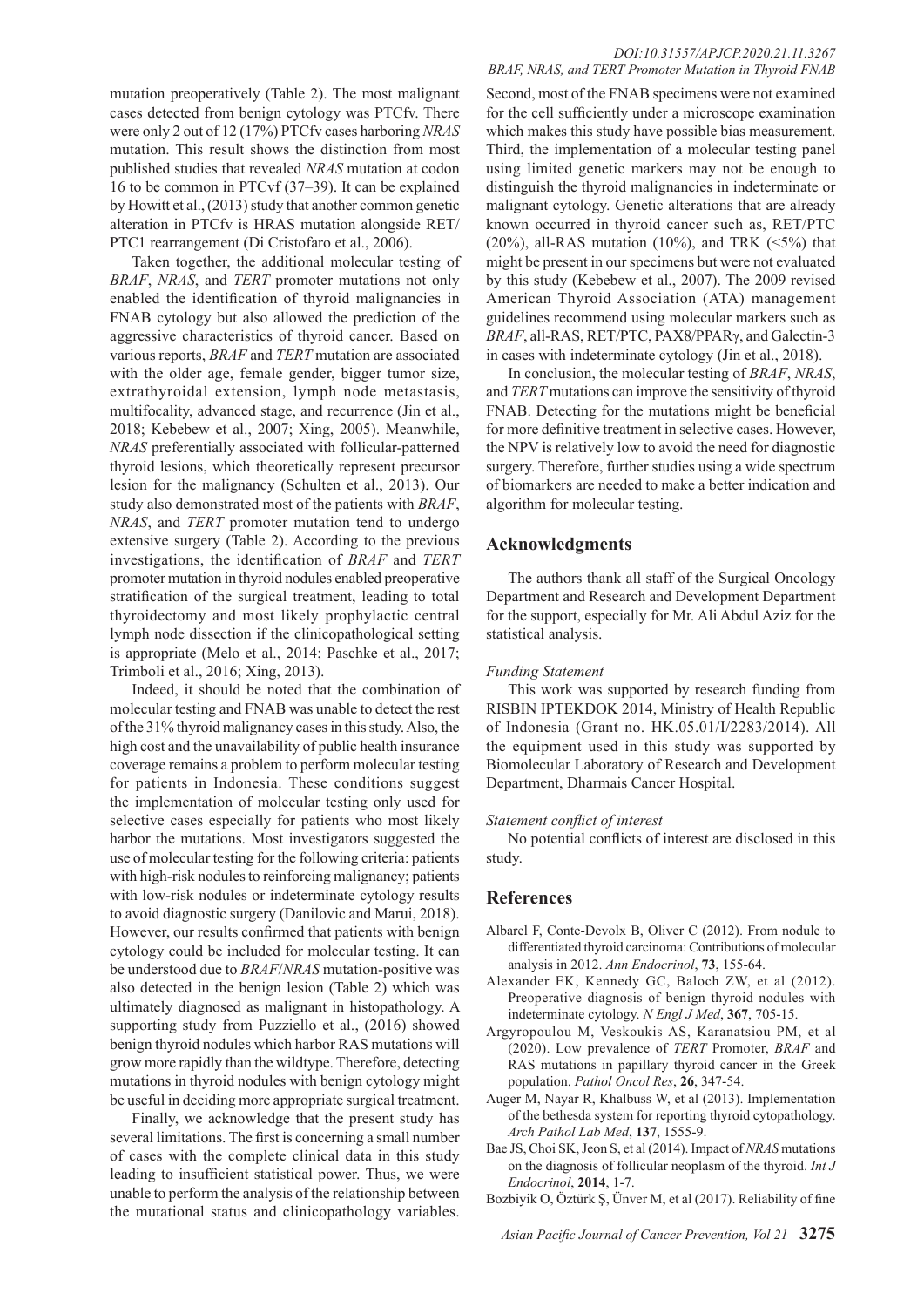mutation preoperatively (Table 2). The most malignant cases detected from benign cytology was PTCfv. There were only 2 out of 12 (17%) PTCfv cases harboring *NRAS* mutation. This result shows the distinction from most published studies that revealed *NRAS* mutation at codon 16 to be common in PTCvf (37–39). It can be explained by Howitt et al., (2013) study that another common genetic alteration in PTCfv is HRAS mutation alongside RET/ PTC1 rearrangement (Di Cristofaro et al., 2006).

Taken together, the additional molecular testing of *BRAF*, *NRAS*, and *TERT* promoter mutations not only enabled the identification of thyroid malignancies in FNAB cytology but also allowed the prediction of the aggressive characteristics of thyroid cancer. Based on various reports, *BRAF* and *TERT* mutation are associated with the older age, female gender, bigger tumor size, extrathyroidal extension, lymph node metastasis, multifocality, advanced stage, and recurrence (Jin et al., 2018; Kebebew et al., 2007; Xing, 2005). Meanwhile, *NRAS* preferentially associated with follicular-patterned thyroid lesions, which theoretically represent precursor lesion for the malignancy (Schulten et al., 2013). Our study also demonstrated most of the patients with *BRAF*, *NRAS*, and *TERT* promoter mutation tend to undergo extensive surgery (Table 2). According to the previous investigations, the identification of *BRAF* and *TERT* promoter mutation in thyroid nodules enabled preoperative stratification of the surgical treatment, leading to total thyroidectomy and most likely prophylactic central lymph node dissection if the clinicopathological setting is appropriate (Melo et al., 2014; Paschke et al., 2017; Trimboli et al., 2016; Xing, 2013).

Indeed, it should be noted that the combination of molecular testing and FNAB was unable to detect the rest of the 31% thyroid malignancy cases in this study. Also, the high cost and the unavailability of public health insurance coverage remains a problem to perform molecular testing for patients in Indonesia. These conditions suggest the implementation of molecular testing only used for selective cases especially for patients who most likely harbor the mutations. Most investigators suggested the use of molecular testing for the following criteria: patients with high-risk nodules to reinforcing malignancy; patients with low-risk nodules or indeterminate cytology results to avoid diagnostic surgery (Danilovic and Marui, 2018). However, our results confirmed that patients with benign cytology could be included for molecular testing. It can be understood due to *BRAF*/*NRAS* mutation-positive was also detected in the benign lesion (Table 2) which was ultimately diagnosed as malignant in histopathology. A supporting study from Puzziello et al., (2016) showed benign thyroid nodules which harbor RAS mutations will grow more rapidly than the wildtype. Therefore, detecting mutations in thyroid nodules with benign cytology might be useful in deciding more appropriate surgical treatment.

Finally, we acknowledge that the present study has several limitations. The first is concerning a small number of cases with the complete clinical data in this study leading to insufficient statistical power. Thus, we were unable to perform the analysis of the relationship between the mutational status and clinicopathology variables.

## *DOI:10.31557/APJCP.2020.21.11.3267 BRAF, NRAS, and TERT Promoter Mutation in Thyroid FNAB*

Second, most of the FNAB specimens were not examined for the cell sufficiently under a microscope examination which makes this study have possible bias measurement. Third, the implementation of a molecular testing panel using limited genetic markers may not be enough to distinguish the thyroid malignancies in indeterminate or malignant cytology. Genetic alterations that are already known occurred in thyroid cancer such as, RET/PTC  $(20\%)$ , all-RAS mutation  $(10\%)$ , and TRK  $(5\%)$  that might be present in our specimens but were not evaluated by this study (Kebebew et al., 2007). The 2009 revised American Thyroid Association (ATA) management guidelines recommend using molecular markers such as *BRAF*, all-RAS, RET/PTC, PAX8/PPARγ, and Galectin-3 in cases with indeterminate cytology (Jin et al., 2018).

In conclusion, the molecular testing of *BRAF*, *NRAS*, and *TERT* mutations can improve the sensitivity of thyroid FNAB. Detecting for the mutations might be beneficial for more definitive treatment in selective cases. However, the NPV is relatively low to avoid the need for diagnostic surgery. Therefore, further studies using a wide spectrum of biomarkers are needed to make a better indication and algorithm for molecular testing.

## **Acknowledgments**

The authors thank all staff of the Surgical Oncology Department and Research and Development Department for the support, especially for Mr. Ali Abdul Aziz for the statistical analysis.

## *Funding Statement*

This work was supported by research funding from RISBIN IPTEKDOK 2014, Ministry of Health Republic of Indonesia (Grant no. HK.05.01/I/2283/2014). All the equipment used in this study was supported by Biomolecular Laboratory of Research and Development Department, Dharmais Cancer Hospital.

## *Statement conflict of interest*

No potential conflicts of interest are disclosed in this study.

## **References**

- Albarel F, Conte-Devolx B, Oliver C (2012). From nodule to differentiated thyroid carcinoma: Contributions of molecular analysis in 2012. *Ann Endocrinol*, **73**, 155-64.
- Alexander EK, Kennedy GC, Baloch ZW, et al (2012). Preoperative diagnosis of benign thyroid nodules with indeterminate cytology. *N Engl J Med*, **367**, 705-15.
- Argyropoulou M, Veskoukis AS, Karanatsiou PM, et al (2020). Low prevalence of *TERT* Promoter, *BRAF* and RAS mutations in papillary thyroid cancer in the Greek population. *Pathol Oncol Res*, **26**, 347-54.
- Auger M, Nayar R, Khalbuss W, et al (2013). Implementation of the bethesda system for reporting thyroid cytopathology. *Arch Pathol Lab Med*, **137**, 1555-9.
- Bae JS, Choi SK, Jeon S, et al (2014). Impact of *NRAS* mutations on the diagnosis of follicular neoplasm of the thyroid. *Int J Endocrinol*, **2014**, 1-7.
- Bozbiyik O, Öztürk Ş, Ünver M, et al (2017). Reliability of fine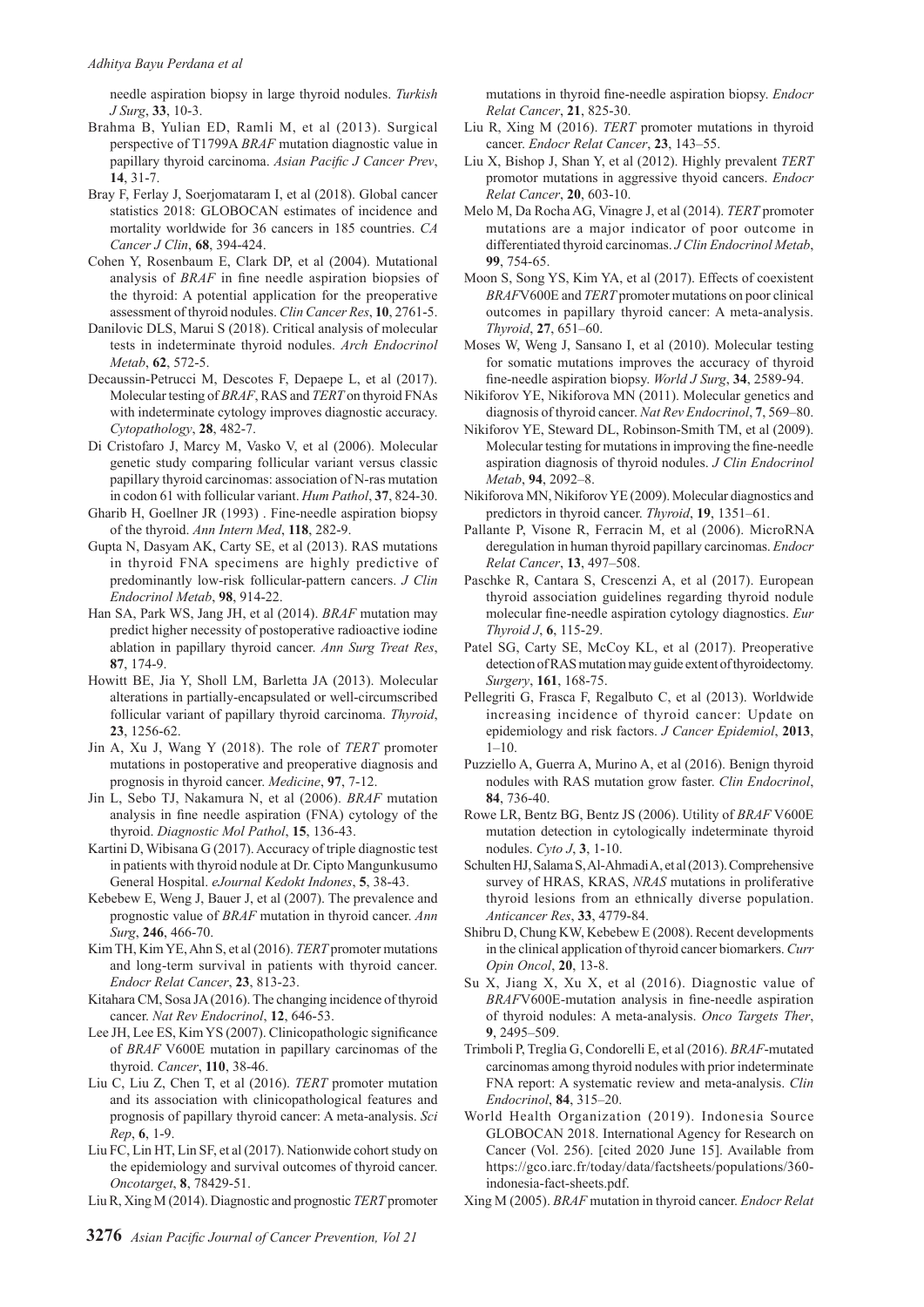needle aspiration biopsy in large thyroid nodules. *Turkish J Surg*, **33**, 10-3.

- Brahma B, Yulian ED, Ramli M, et al (2013). Surgical perspective of T1799A *BRAF* mutation diagnostic value in papillary thyroid carcinoma. *Asian Pacific J Cancer Prev*, **14**, 31-7.
- Bray F, Ferlay J, Soerjomataram I, et al (2018). Global cancer statistics 2018: GLOBOCAN estimates of incidence and mortality worldwide for 36 cancers in 185 countries. *CA Cancer J Clin*, **68**, 394-424.
- Cohen Y, Rosenbaum E, Clark DP, et al (2004). Mutational analysis of *BRAF* in fine needle aspiration biopsies of the thyroid: A potential application for the preoperative assessment of thyroid nodules. *Clin Cancer Res*, **10**, 2761-5.
- Danilovic DLS, Marui S (2018). Critical analysis of molecular tests in indeterminate thyroid nodules. *Arch Endocrinol Metab*, **62**, 572-5.
- Decaussin-Petrucci M, Descotes F, Depaepe L, et al (2017). Molecular testing of *BRAF*, RAS and *TERT* on thyroid FNAs with indeterminate cytology improves diagnostic accuracy. *Cytopathology*, **28**, 482-7.
- Di Cristofaro J, Marcy M, Vasko V, et al (2006). Molecular genetic study comparing follicular variant versus classic papillary thyroid carcinomas: association of N-ras mutation in codon 61 with follicular variant. *Hum Pathol*, **37**, 824-30.
- Gharib H, Goellner JR (1993) . Fine-needle aspiration biopsy of the thyroid. *Ann Intern Med*, **118**, 282-9.
- Gupta N, Dasyam AK, Carty SE, et al (2013). RAS mutations in thyroid FNA specimens are highly predictive of predominantly low-risk follicular-pattern cancers. *J Clin Endocrinol Metab*, **98**, 914-22.
- Han SA, Park WS, Jang JH, et al (2014). *BRAF* mutation may predict higher necessity of postoperative radioactive iodine ablation in papillary thyroid cancer. *Ann Surg Treat Res*, **87**, 174-9.
- Howitt BE, Jia Y, Sholl LM, Barletta JA (2013). Molecular alterations in partially-encapsulated or well-circumscribed follicular variant of papillary thyroid carcinoma. *Thyroid*, **23**, 1256-62.
- Jin A, Xu J, Wang Y (2018). The role of *TERT* promoter mutations in postoperative and preoperative diagnosis and prognosis in thyroid cancer. *Medicine*, **97**, 7-12.
- Jin L, Sebo TJ, Nakamura N, et al (2006). *BRAF* mutation analysis in fine needle aspiration (FNA) cytology of the thyroid. *Diagnostic Mol Pathol*, **15**, 136-43.
- Kartini D, Wibisana G (2017). Accuracy of triple diagnostic test in patients with thyroid nodule at Dr. Cipto Mangunkusumo General Hospital. *eJournal Kedokt Indones*, **5**, 38-43.
- Kebebew E, Weng J, Bauer J, et al (2007). The prevalence and prognostic value of *BRAF* mutation in thyroid cancer. *Ann Surg*, **246**, 466-70.
- Kim TH, Kim YE, Ahn S, et al (2016). *TERT* promoter mutations and long-term survival in patients with thyroid cancer. *Endocr Relat Cancer*, **23**, 813-23.
- Kitahara CM, Sosa JA (2016). The changing incidence of thyroid cancer. *Nat Rev Endocrinol*, **12**, 646-53.
- Lee JH, Lee ES, Kim YS (2007). Clinicopathologic significance of *BRAF* V600E mutation in papillary carcinomas of the thyroid. *Cancer*, **110**, 38-46.
- Liu C, Liu Z, Chen T, et al (2016). *TERT* promoter mutation and its association with clinicopathological features and prognosis of papillary thyroid cancer: A meta-analysis. *Sci Rep*, **6**, 1-9.
- Liu FC, Lin HT, Lin SF, et al (2017). Nationwide cohort study on the epidemiology and survival outcomes of thyroid cancer. *Oncotarget*, **8**, 78429-51.
- Liu R, Xing M (2014). Diagnostic and prognostic *TERT* promoter

mutations in thyroid fine-needle aspiration biopsy. *Endocr Relat Cancer*, **21**, 825-30.

- Liu R, Xing M (2016). *TERT* promoter mutations in thyroid cancer. *Endocr Relat Cancer*, **23**, 143–55.
- Liu X, Bishop J, Shan Y, et al (2012). Highly prevalent *TERT* promotor mutations in aggressive thyoid cancers. *Endocr Relat Cancer*, **20**, 603-10.
- Melo M, Da Rocha AG, Vinagre J, et al (2014). *TERT* promoter mutations are a major indicator of poor outcome in differentiated thyroid carcinomas. *J Clin Endocrinol Metab*, **99**, 754-65.
- Moon S, Song YS, Kim YA, et al (2017). Effects of coexistent *BRAF*V600E and *TERT* promoter mutations on poor clinical outcomes in papillary thyroid cancer: A meta-analysis. *Thyroid*, **27**, 651–60.
- Moses W, Weng J, Sansano I, et al (2010). Molecular testing for somatic mutations improves the accuracy of thyroid fine-needle aspiration biopsy. *World J Surg*, **34**, 2589-94.
- Nikiforov YE, Nikiforova MN (2011). Molecular genetics and diagnosis of thyroid cancer. *Nat Rev Endocrinol*, **7**, 569–80.
- Nikiforov YE, Steward DL, Robinson-Smith TM, et al (2009). Molecular testing for mutations in improving the fine-needle aspiration diagnosis of thyroid nodules. *J Clin Endocrinol Metab*, **94**, 2092–8.
- Nikiforova MN, Nikiforov YE (2009). Molecular diagnostics and predictors in thyroid cancer. *Thyroid*, **19**, 1351–61.
- Pallante P, Visone R, Ferracin M, et al (2006). MicroRNA deregulation in human thyroid papillary carcinomas. *Endocr Relat Cancer*, **13**, 497–508.
- Paschke R, Cantara S, Crescenzi A, et al (2017). European thyroid association guidelines regarding thyroid nodule molecular fine-needle aspiration cytology diagnostics. *Eur Thyroid J*, **6**, 115-29.
- Patel SG, Carty SE, McCoy KL, et al (2017). Preoperative detection of RAS mutation may guide extent of thyroidectomy. *Surgery*, **161**, 168-75.
- Pellegriti G, Frasca F, Regalbuto C, et al (2013). Worldwide increasing incidence of thyroid cancer: Update on epidemiology and risk factors. *J Cancer Epidemiol*, **2013**, 1–10.
- Puzziello A, Guerra A, Murino A, et al (2016). Benign thyroid nodules with RAS mutation grow faster. *Clin Endocrinol*, **84**, 736-40.
- Rowe LR, Bentz BG, Bentz JS (2006). Utility of *BRAF* V600E mutation detection in cytologically indeterminate thyroid nodules. *Cyto J*, **3**, 1-10.
- Schulten HJ, Salama S, Al-Ahmadi A, et al (2013). Comprehensive survey of HRAS, KRAS, *NRAS* mutations in proliferative thyroid lesions from an ethnically diverse population. *Anticancer Res*, **33**, 4779-84.
- Shibru D, Chung KW, Kebebew E (2008). Recent developments in the clinical application of thyroid cancer biomarkers. *Curr Opin Oncol*, **20**, 13-8.
- Su X, Jiang X, Xu X, et al (2016). Diagnostic value of *BRAF*V600E-mutation analysis in fine-needle aspiration of thyroid nodules: A meta-analysis. *Onco Targets Ther*, **9**, 2495–509.
- Trimboli P, Treglia G, Condorelli E, et al (2016). *BRAF*-mutated carcinomas among thyroid nodules with prior indeterminate FNA report: A systematic review and meta-analysis. *Clin Endocrinol*, **84**, 315–20.
- World Health Organization (2019). Indonesia Source GLOBOCAN 2018. International Agency for Research on Cancer (Vol. 256). [cited 2020 June 15]. Available from https://gco.iarc.fr/today/data/factsheets/populations/360 indonesia-fact-sheets.pdf.
- Xing M (2005). *BRAF* mutation in thyroid cancer. *Endocr Relat*